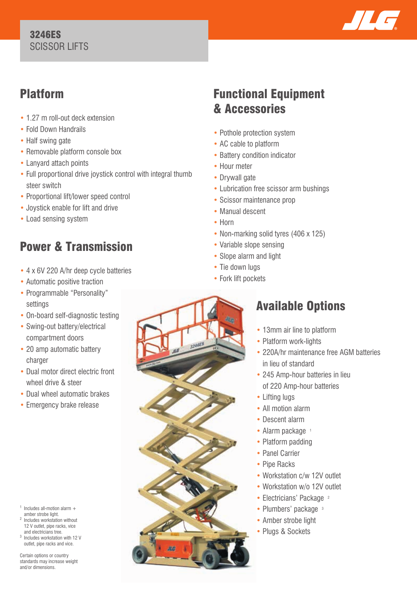#### 3246ES SCISSOR LIFTS



## Platform

- 1.27 m roll-out deck extension
- Fold Down Handrails
- Half swing gate
- Removable platform console box
- Lanyard attach points
- Full proportional drive joystick control with integral thumb steer switch
- Proportional lift/lower speed control
- Joystick enable for lift and drive
- Load sensing system

# Power & Transmission

- 4 x 6V 220 A/hr deep cycle batteries
- Automatic positive traction
- Programmable "Personality" settings
- On-board self-diagnostic testing
- Swing-out battery/electrical compartment doors
- 20 amp automatic battery charger
- Dual motor direct electric front wheel drive & steer
- Dual wheel automatic brakes
- Emergency brake release

 $1$  Includes all-motion alarm  $+$ amber strobe light.

- 2 Includes workstation without 12 V outlet, pipe racks, vice and electricians tree.
- Includes workstation with 12 V outlet, pipe racks and vice.

Certain options or country standards may increase weight and/or dimensions.

## Functional Equipment & Accessories

- Pothole protection system
- AC cable to platform
- Battery condition indicator
- Hour meter
- Drywall gate
- Lubrication free scissor arm bushings
- Scissor maintenance prop
- Manual descent
- Horn
- Non-marking solid tyres (406 x 125)
- Variable slope sensing
- Slope alarm and light
- Tie down lugs
- Fork lift pockets



## Available Options

- 13mm air line to platform
- Platform work-lights
- 220A/hr maintenance free AGM batteries in lieu of standard
- 245 Amp-hour batteries in lieu of 220 Amp-hour batteries
- Lifting lugs
- All motion alarm
- Descent alarm
- Alarm package 1
- Platform padding
- Panel Carrier
- Pipe Racks
- Workstation c/w 12V outlet
- Workstation w/o 12V outlet
- Electricians' Package <sup>2</sup>
- Plumbers' package 3
- Amber strobe light
- Plugs & Sockets